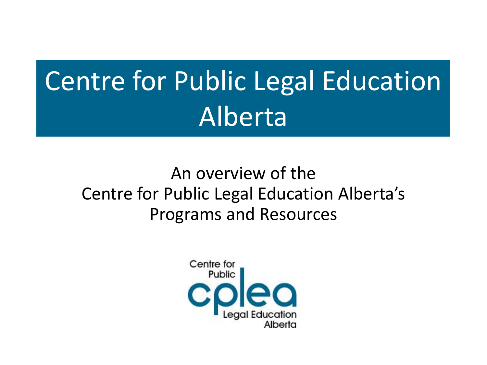# Centre for Public Legal Education Alberta

#### An overview of the Centre for Public Legal Education Alberta's Programs and Resources

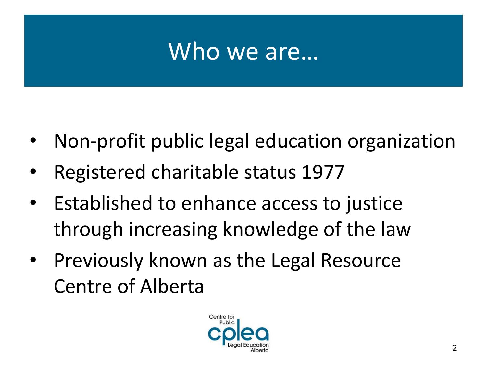#### Who we are…

- Non-profit public legal education organization
- Registered charitable status 1977
- Established to enhance access to justice through increasing knowledge of the law
- Previously known as the Legal Resource Centre of Alberta

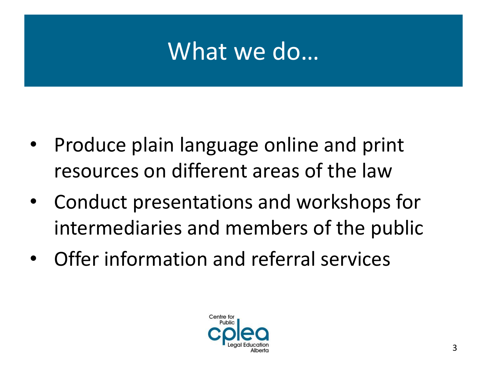#### What we do…

- Produce plain language online and print resources on different areas of the law
- Conduct presentations and workshops for intermediaries and members of the public
- Offer information and referral services

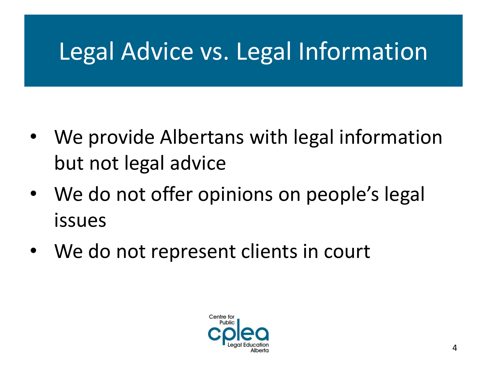## Legal Advice vs. Legal Information

- We provide Albertans with legal information but not legal advice
- We do not offer opinions on people's legal issues
- We do not represent clients in court

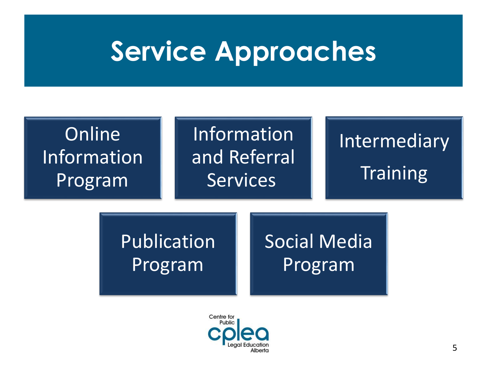# **Service Approaches**



![](_page_4_Picture_2.jpeg)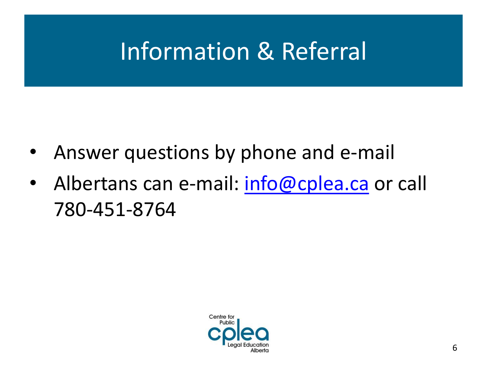## Information & Referral

- Answer questions by phone and e-mail
- Albertans can e-mail: [info@cplea.ca](mailto:info@cplea.ca) or call 780-451-8764

![](_page_5_Picture_3.jpeg)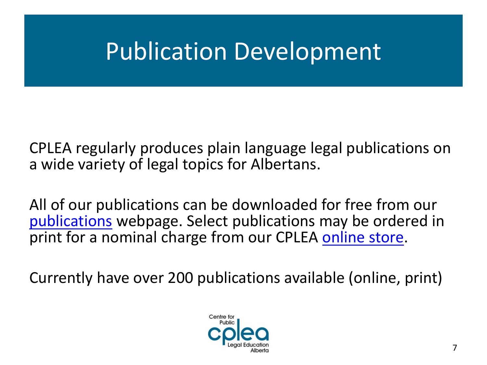### Publication Development

CPLEA regularly produces plain language legal publications on a wide variety of legal topics for Albertans.

All of our publications can be downloaded for free from our [publications](http://www.cplea.ca/publications) webpage. Select publications may be ordered in print for a nominal charge from our CPLEA [online store](http://sitebuilder.securenetshop.com/legalresourcecentre/feature_page).

Currently have over 200 publications available (online, print)

![](_page_6_Picture_4.jpeg)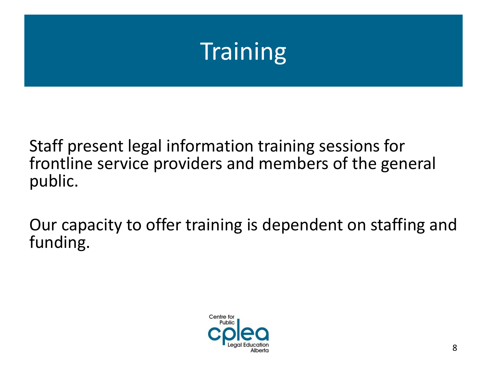## **Training**

Staff present legal information training sessions for frontline service providers and members of the general public.

Our capacity to offer training is dependent on staffing and funding.

![](_page_7_Picture_3.jpeg)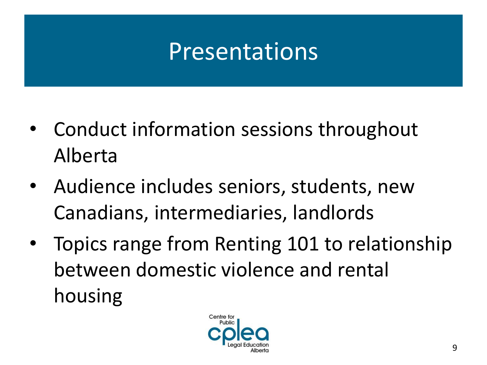## Presentations

- Conduct information sessions throughout Alberta
- Audience includes seniors, students, new Canadians, intermediaries, landlords
- Topics range from Renting 101 to relationship between domestic violence and rental housing

![](_page_8_Picture_4.jpeg)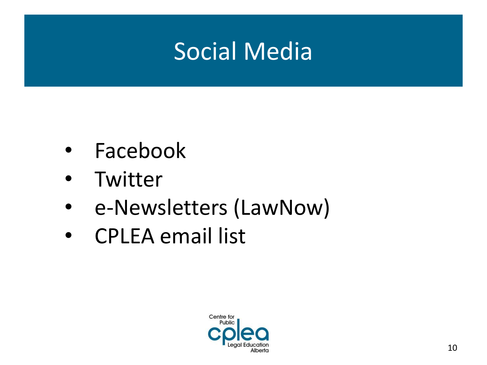#### Social Media

- Facebook
- Twitter
- e-Newsletters (LawNow)
- CPLEA email list

![](_page_9_Picture_5.jpeg)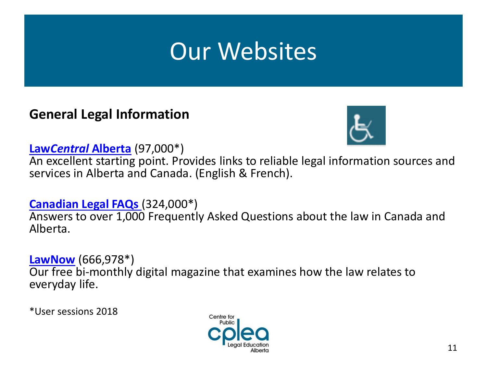#### **General Legal Information**

![](_page_10_Picture_2.jpeg)

**Law***Central* **[Alberta](http://www.lawcentralalberta.ca/)** (97,000\*)

An excellent starting point. Provides links to reliable legal information sources and services in Alberta and Canada. (English & French).

**[Canadian Legal FAQs](http://www.law-faqs.org/)** (324,000\*) Answers to over 1,000 Frequently Asked Questions about the law in Canada and Alberta.

**[LawNow](http://www.lawnow.org/)** (666,978\*)

Our free bi-monthly digital magazine that examines how the law relates to everyday life.

\*User sessions 2018

![](_page_10_Picture_9.jpeg)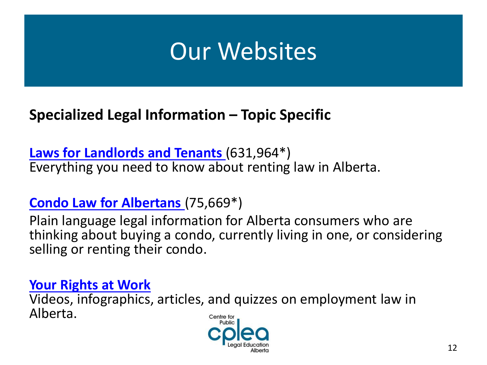#### **Specialized Legal Information – Topic Specific**

**[Laws for Landlords and Tenants](http://www.landlordandtenant.org/)** (631,964\*) Everything you need to know about renting law in Alberta.

#### **[Condo Law for Albertans](http://www.condolawalberta.ca/)** (75,669\*)

Plain language legal information for Alberta consumers who are thinking about buying a condo, currently living in one, or considering selling or renting their condo.

#### **[Your Rights at Work](http://www.cplea.ca/rightsatwork)**

Videos, infographics, articles, and quizzes on employment law in Alberta. Centre for

![](_page_11_Picture_7.jpeg)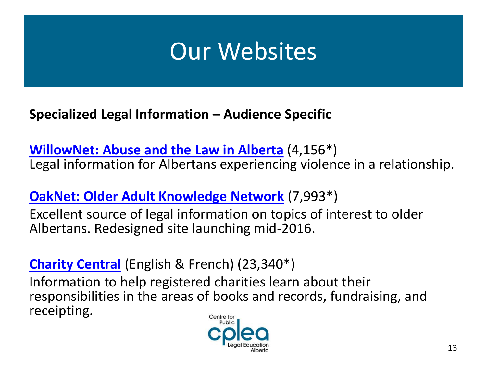**Specialized Legal Information – Audience Specific**

**[WillowNet: Abuse and the Law in Alberta](http://www.willownet.ca/)** (4,156\*) Legal information for Albertans experiencing violence in a relationship.

**[OakNet: Older Adult Knowledge Network](http://www.oaknet.ca/)** (7,993\*)

Excellent source of legal information on topics of interest to older Albertans. Redesigned site launching mid-2016.

**[Charity Central](http://www.charitycentral.ca/)** (English & French) (23,340\*)

Information to help registered charities learn about their responsibilities in the areas of books and records, fundraising, and receipting.Centre for

![](_page_12_Picture_7.jpeg)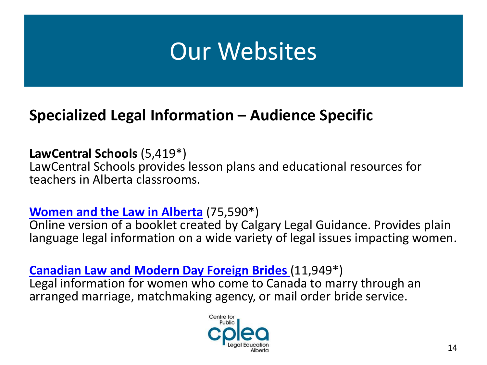#### **Specialized Legal Information – Audience Specific**

**LawCentral Schools** (5,419\*) LawCentral Schools provides lesson plans and educational resources for teachers in Alberta classrooms.

#### **[Women and the Law in Alberta](http://www.lawforalbertawomen.ca/)** (75,590\*)

Online version of a booklet created by Calgary Legal Guidance. Provides plain language legal information on a wide variety of legal issues impacting women.

**[Canadian Law and Modern Day Foreign Brides](http://www.lawforforeignbrides.ca/)** (11,949\*) Legal information for women who come to Canada to marry through an arranged marriage, matchmaking agency, or mail order bride service.

![](_page_13_Picture_6.jpeg)